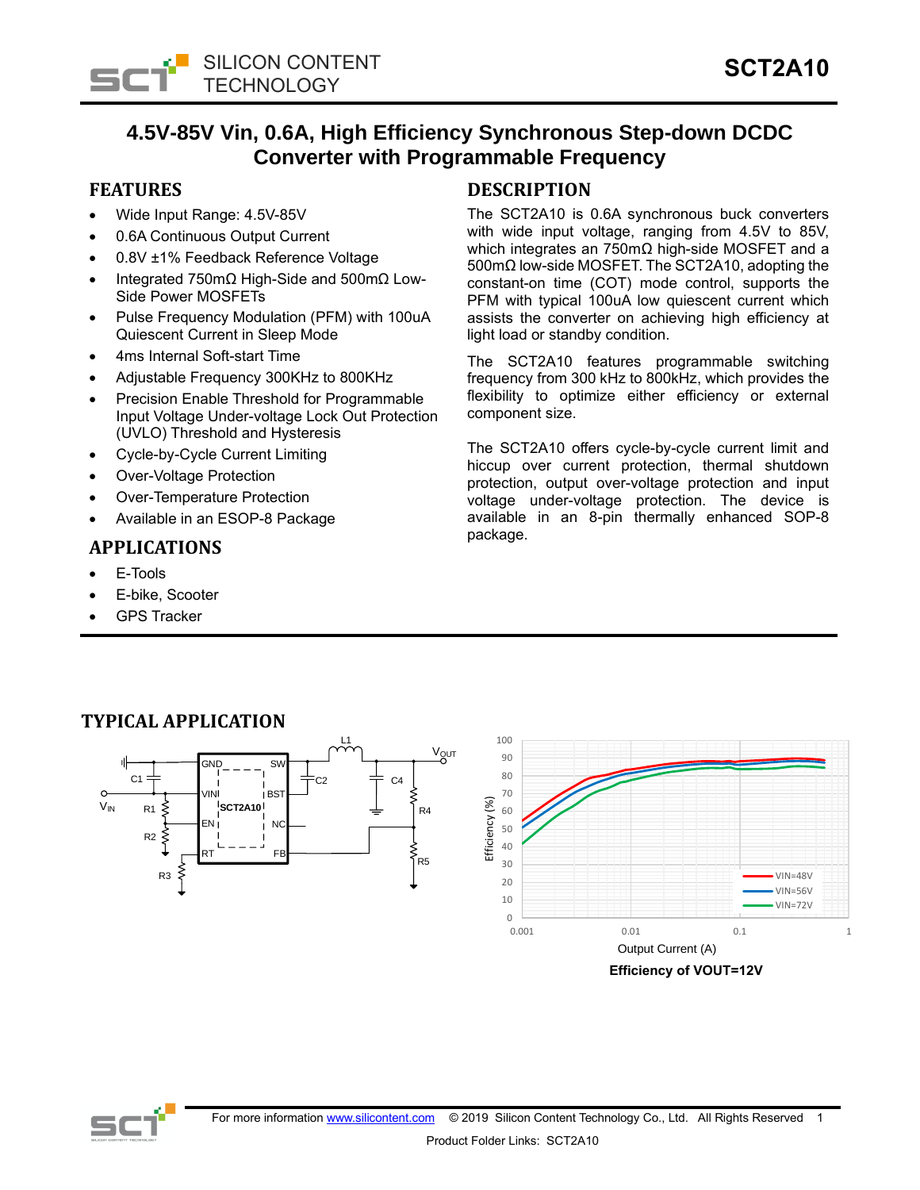

# **4.5V-85V Vin, 0.6A, High Efficiency Synchronous Step-down DCDC Converter with Programmable Frequency**

## **FEATURES**

- Wide Input Range: 4.5V-85V
- 0.6A Continuous Output Current
- 0.8V ±1% Feedback Reference Voltage
- Integrated 750mΩ High-Side and 500mΩ Low-Side Power MOSFETs
- Pulse Frequency Modulation (PFM) with 100uA Quiescent Current in Sleep Mode
- 4ms Internal Soft-start Time
- Adjustable Frequency 300KHz to 800KHz
- Precision Enable Threshold for Programmable Input Voltage Under-voltage Lock Out Protection (UVLO) Threshold and Hysteresis
- Cycle-by-Cycle Current Limiting
- Over-Voltage Protection
- Over-Temperature Protection
- Available in an ESOP-8 Package

## **APPLICATIONS**

- E-Tools
- E-bike, Scooter
- GPS Tracker

## **DESCRIPTION**

The SCT2A10 is 0.6A synchronous buck converters with wide input voltage, ranging from 4.5V to 85V, which integrates an 750mΩ high-side MOSFET and a 500mΩ low-side MOSFET. The SCT2A10, adopting the constant-on time (COT) mode control, supports the PFM with typical 100uA low quiescent current which assists the converter on achieving high efficiency at light load or standby condition.

The SCT2A10 features programmable switching frequency from 300 kHz to 800kHz, which provides the flexibility to optimize either efficiency or external component size.

The SCT2A10 offers cycle-by-cycle current limit and hiccup over current protection, thermal shutdown protection, output over-voltage protection and input voltage under-voltage protection. The device is available in an 8-pin thermally enhanced SOP-8 package.







### **TYPICAL APPLICATION**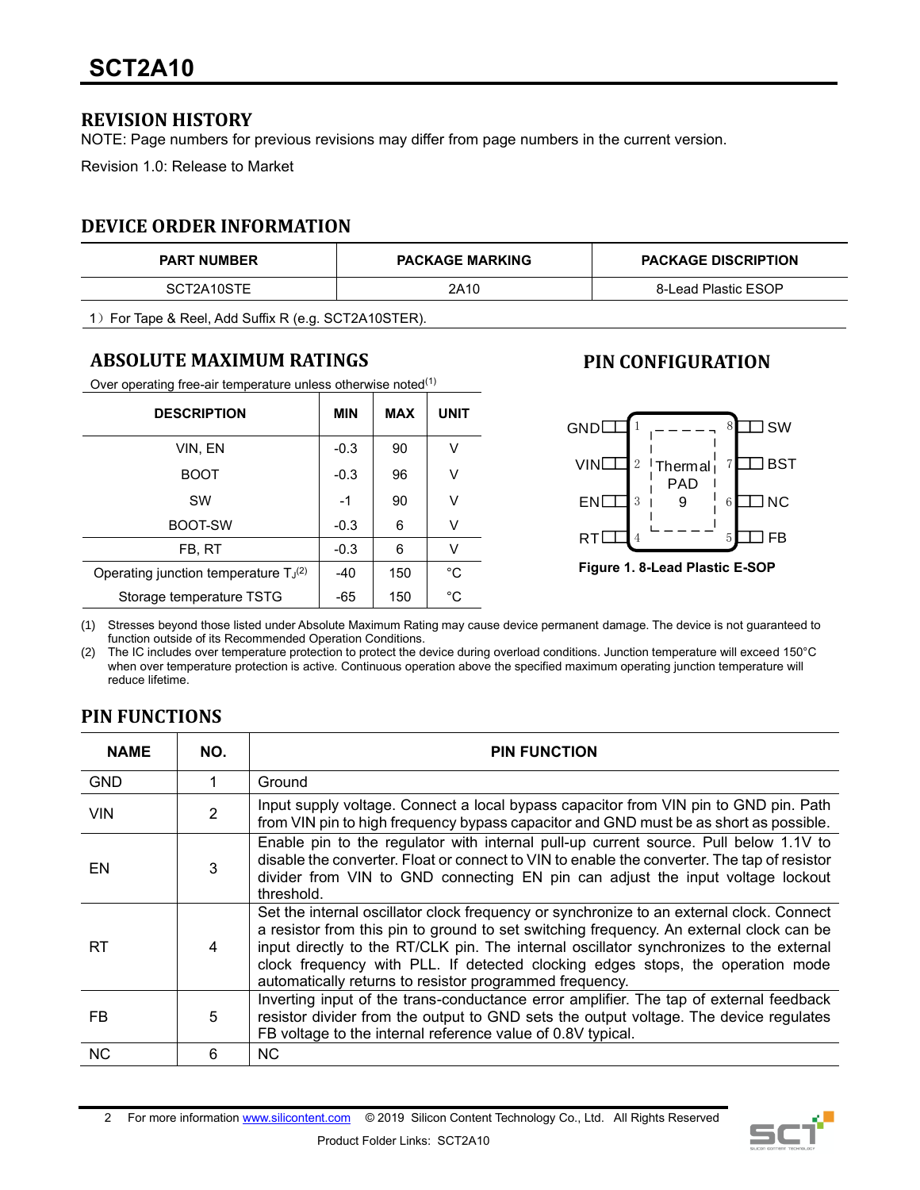### **REVISION HISTORY**

NOTE: Page numbers for previous revisions may differ from page numbers in the current version.

Revision 1.0: Release to Market

# **DEVICE ORDER INFORMATION**

| <b>PART NUMBER</b> | <b>PACKAGE MARKING</b> | <b>PACKAGE DISCRIPTION</b> |
|--------------------|------------------------|----------------------------|
| SCT2A10STE         | 2A10                   | 8-Lead Plastic ESOP        |

1) For Tape & Reel, Add Suffix R (e.g. SCT2A10STER).

# **ABSOLUTE MAXIMUM RATINGS**

Over operating free-air temperature unless otherwise noted<sup>(1)</sup>

| <b>DESCRIPTION</b>                     | <b>MIN</b> | <b>MAX</b> | <b>UNIT</b> |
|----------------------------------------|------------|------------|-------------|
| VIN, EN                                | $-0.3$     | 90         | ٧           |
| <b>BOOT</b>                            | $-0.3$     | 96         | V           |
| SW                                     | $-1$       | 90         | V           |
| BOOT-SW                                | $-0.3$     | 6          | ٧           |
| FB, RT                                 | $-0.3$     | 6          | V           |
| Operating junction temperature $TJ(2)$ | $-40$      | 150        | °C          |
| Storage temperature TSTG               | -65        | 150        | °C          |

# **PIN CONFIGURATION**



(1) Stresses beyond those listed under Absolute Maximum Rating may cause device permanent damage. The device is not guaranteed to function outside of its Recommended Operation Conditions.

(2) The IC includes over temperature protection to protect the device during overload conditions. Junction temperature will exceed 150°C when over temperature protection is active. Continuous operation above the specified maximum operating junction temperature will reduce lifetime.

# **PIN FUNCTIONS**

| <b>NAME</b> | NO.            | <b>PIN FUNCTION</b>                                                                                                                                                                                                                                                                                                                                                                                                        |
|-------------|----------------|----------------------------------------------------------------------------------------------------------------------------------------------------------------------------------------------------------------------------------------------------------------------------------------------------------------------------------------------------------------------------------------------------------------------------|
| <b>GND</b>  |                | Ground                                                                                                                                                                                                                                                                                                                                                                                                                     |
| <b>VIN</b>  | $\overline{2}$ | Input supply voltage. Connect a local bypass capacitor from VIN pin to GND pin. Path<br>from VIN pin to high frequency bypass capacitor and GND must be as short as possible.                                                                                                                                                                                                                                              |
| EN.         | 3              | Enable pin to the regulator with internal pull-up current source. Pull below 1.1V to<br>disable the converter. Float or connect to VIN to enable the converter. The tap of resistor<br>divider from VIN to GND connecting EN pin can adjust the input voltage lockout<br>threshold.                                                                                                                                        |
| RT          | 4              | Set the internal oscillator clock frequency or synchronize to an external clock. Connect<br>a resistor from this pin to ground to set switching frequency. An external clock can be<br>input directly to the RT/CLK pin. The internal oscillator synchronizes to the external<br>clock frequency with PLL. If detected clocking edges stops, the operation mode<br>automatically returns to resistor programmed frequency. |
| FB.         | 5              | Inverting input of the trans-conductance error amplifier. The tap of external feedback<br>resistor divider from the output to GND sets the output voltage. The device regulates<br>FB voltage to the internal reference value of 0.8V typical.                                                                                                                                                                             |
| <b>NC</b>   | 6              | <b>NC</b>                                                                                                                                                                                                                                                                                                                                                                                                                  |

2 For more informatio[n www.silicontent.com](http://www.silicontent.com/) © 2019 Silicon Content Technology Co., Ltd. All Rights Reserved

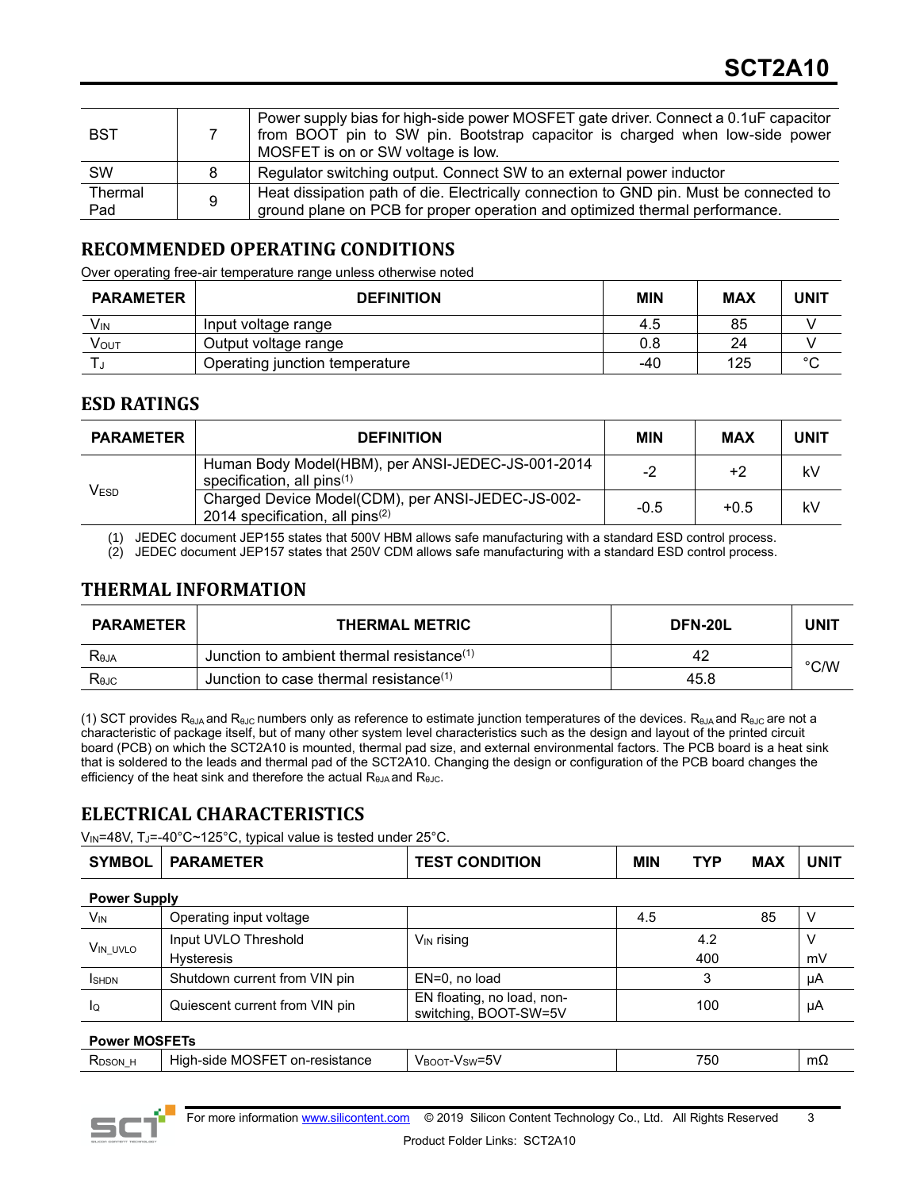| <b>BST</b>     |   | Power supply bias for high-side power MOSFET gate driver. Connect a 0.1uF capacitor<br>from BOOT pin to SW pin. Bootstrap capacitor is charged when low-side power<br>MOSFET is on or SW voltage is low. |
|----------------|---|----------------------------------------------------------------------------------------------------------------------------------------------------------------------------------------------------------|
| <b>SW</b>      |   | Regulator switching output. Connect SW to an external power inductor                                                                                                                                     |
| Thermal<br>Pad | 9 | Heat dissipation path of die. Electrically connection to GND pin. Must be connected to<br>ground plane on PCB for proper operation and optimized thermal performance.                                    |

# **RECOMMENDED OPERATING CONDITIONS**

Over operating free-air temperature range unless otherwise noted

| <b>PARAMETER</b> | <b>DEFINITION</b>              | <b>MIN</b> | <b>MAX</b> | UNIT   |
|------------------|--------------------------------|------------|------------|--------|
| Vın              | Input voltage range            | 4.5        | 85         |        |
| Vουτ             | Output voltage range           | 0.8        | 24         |        |
|                  | Operating junction temperature | -40        | 125        | $\sim$ |

### **ESD RATINGS**

| <b>PARAMETER</b> | <b>DEFINITION</b>                                                                       | MIN    | MAX    | <b>UNIT</b> |
|------------------|-----------------------------------------------------------------------------------------|--------|--------|-------------|
|                  | Human Body Model(HBM), per ANSI-JEDEC-JS-001-2014<br>specification, all pins $(1)$      | $-2$   | $+2$   | kV          |
| <b>VESD</b>      | Charged Device Model(CDM), per ANSI-JEDEC-JS-002-<br>2014 specification, all pins $(2)$ | $-0.5$ | $+0.5$ | kV          |

(1) JEDEC document JEP155 states that 500V HBM allows safe manufacturing with a standard ESD control process.

(2) JEDEC document JEP157 states that 250V CDM allows safe manufacturing with a standard ESD control process.

## **THERMAL INFORMATION**

| <b>PARAMETER</b> | <b>THERMAL METRIC</b>                        | <b>DFN-20L</b> | <b>UNIT</b>   |
|------------------|----------------------------------------------|----------------|---------------|
| Reja             | Junction to ambient thermal resistance $(1)$ | 42             | $\degree$ C/W |
| Rejc             | Junction to case thermal resistance $(1)$    | 45.8           |               |

(1) SCT provides  $R_{\theta$ JA and  $R_{\theta$ JC numbers only as reference to estimate junction temperatures of the devices.  $R_{\theta$ JA and  $R_{\theta$ JC are not a characteristic of package itself, but of many other system level characteristics such as the design and layout of the printed circuit board (PCB) on which the SCT2A10 is mounted, thermal pad size, and external environmental factors. The PCB board is a heat sink that is soldered to the leads and thermal pad of the SCT2A10. Changing the design or configuration of the PCB board changes the efficiency of the heat sink and therefore the actual R<sub>θJA</sub> and R<sub>θJC</sub>.

# **ELECTRICAL CHARACTERISTICS**

V<sub>IN</sub>=48V, T<sub>J</sub>=-40°C~125°C, typical value is tested under 25°C.

|  | <b>SYMROL</b> | <b>PARAMETER</b> | <b>TEST CONDITION</b> | <b>MIN</b> | TYP | <b>MAX</b> | UNIT |
|--|---------------|------------------|-----------------------|------------|-----|------------|------|
|--|---------------|------------------|-----------------------|------------|-----|------------|------|

| <b>Power Supply</b>  |                                |                                                     |     |    |    |
|----------------------|--------------------------------|-----------------------------------------------------|-----|----|----|
| V <sub>IN</sub>      | Operating input voltage        |                                                     | 4.5 | 85 |    |
| V <sub>IN_UVLO</sub> | Input UVLO Threshold           | $V_{IN}$ rising                                     | 4.2 |    |    |
|                      | <b>Hysteresis</b>              |                                                     | 400 |    | mV |
| <b>I</b> SHDN        | Shutdown current from VIN pin  | EN=0, no load                                       |     |    | μA |
| lQ                   | Quiescent current from VIN pin | EN floating, no load, non-<br>switching, BOOT-SW=5V | 100 |    | μA |
|                      |                                |                                                     |     |    |    |

#### **Power MOSFETs**

| .                                        |                                                                 |                                   |                  |           |
|------------------------------------------|-----------------------------------------------------------------|-----------------------------------|------------------|-----------|
| <b>KDSON</b><br>$\overline{\phantom{0}}$ | .<br>resistance<br>h-side<br>Hiar<br>MC.<br>nn-<br>--<br>" דרה. | $V$ BOOT<br>⊸sw−<br>$\sim$ $\sim$ | --<br>'5L<br>. . | $m\Omega$ |
|                                          |                                                                 |                                   |                  |           |

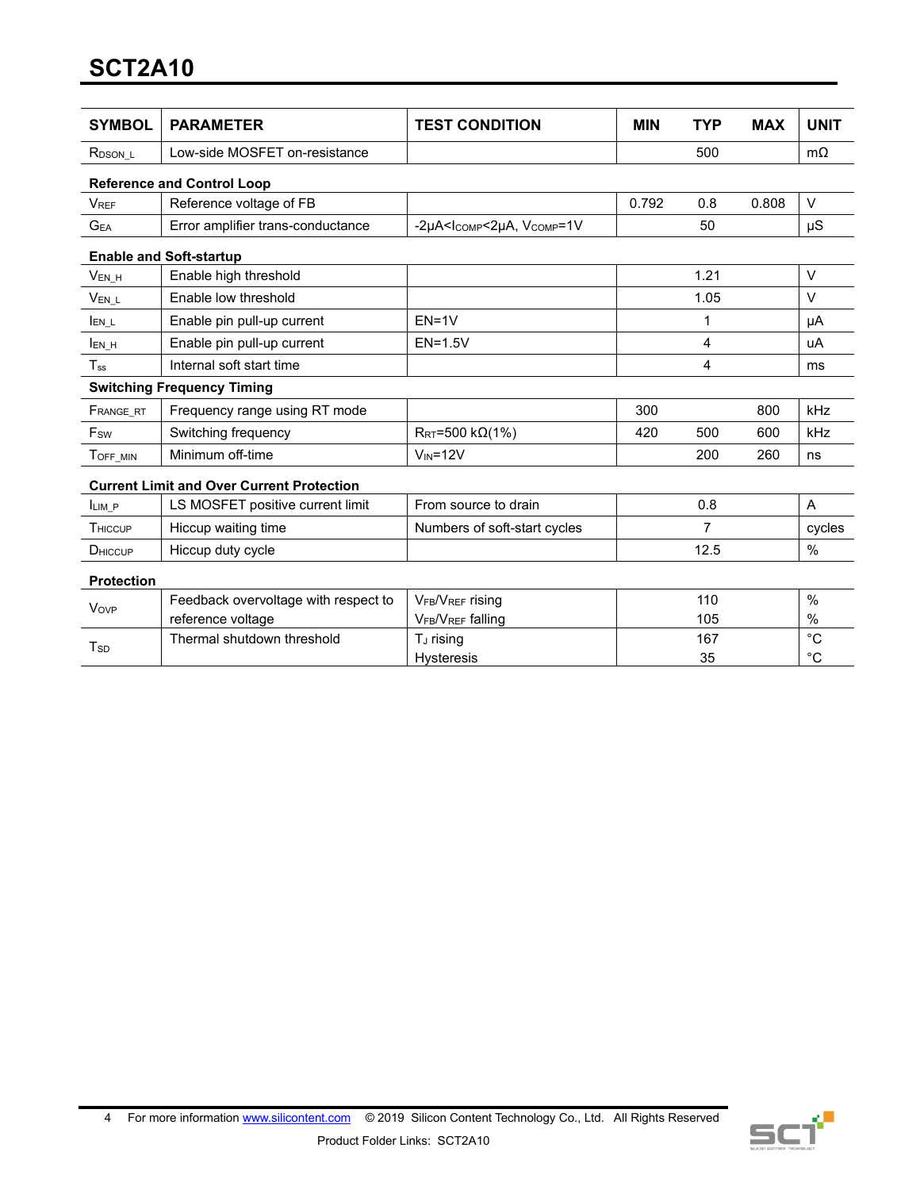| <b>SYMBOL</b>          | <b>PARAMETER</b>                                 | <b>TEST CONDITION</b>                                                                                    | <b>MIN</b> | <b>TYP</b> | <b>MAX</b> | <b>UNIT</b>    |
|------------------------|--------------------------------------------------|----------------------------------------------------------------------------------------------------------|------------|------------|------------|----------------|
| R <sub>DSON</sub> L    | Low-side MOSFET on-resistance                    |                                                                                                          |            | 500        |            | $m\Omega$      |
|                        | <b>Reference and Control Loop</b>                |                                                                                                          |            |            |            |                |
| VREF                   | Reference voltage of FB                          |                                                                                                          | 0.792      | 0.8        | 0.808      | $\vee$         |
| $G_{EA}$               | Error amplifier trans-conductance                | -2µA <lcomp<2µa, vcomp="1V&lt;/td"><td></td><td>50</td><td></td><td><math>\mu S</math></td></lcomp<2µa,> |            | 50         |            | $\mu S$        |
|                        | <b>Enable and Soft-startup</b>                   |                                                                                                          |            |            |            |                |
| $V_{EN_H}$             | Enable high threshold                            |                                                                                                          |            | 1.21       |            | $\vee$         |
| VEN L                  | Enable low threshold                             |                                                                                                          |            | 1.05       |            | V              |
| $I_{EN\_L}$            | Enable pin pull-up current                       | $EN=1V$                                                                                                  |            | 1          |            | μA             |
| $I_{EN_H}$             | Enable pin pull-up current                       | $EN=1.5V$                                                                                                |            | 4          |            | uA             |
| $T_{ss}$               | Internal soft start time                         |                                                                                                          |            | 4          |            | ms             |
|                        | <b>Switching Frequency Timing</b>                |                                                                                                          |            |            |            |                |
| FRANGE_RT              | Frequency range using RT mode                    |                                                                                                          | 300        |            | 800        | kHz            |
| Fsw                    | Switching frequency                              | $R_{RT}$ =500 k $\Omega$ (1%)                                                                            | 420        | 500        | 600        | kHz            |
| TOFF MIN               | Minimum off-time                                 | $V_{IN} = 12V$                                                                                           |            | 200        | 260        | ns             |
|                        | <b>Current Limit and Over Current Protection</b> |                                                                                                          |            |            |            |                |
| LIM P                  | LS MOSFET positive current limit                 | From source to drain                                                                                     |            | 0.8        |            | $\overline{A}$ |
| THICCUP                | Hiccup waiting time                              | Numbers of soft-start cycles                                                                             |            | 7          |            | cycles         |
| DHICCUP                | Hiccup duty cycle                                |                                                                                                          |            | 12.5       |            | $\%$           |
| <b>Protection</b>      |                                                  |                                                                                                          |            |            |            |                |
| <b>Vov<sub>P</sub></b> | Feedback overvoltage with respect to             | V <sub>FB</sub> /V <sub>REF</sub> rising                                                                 |            | 110        |            | $\%$           |
|                        | reference voltage                                | <b>VFB/VREF</b> falling                                                                                  |            | 105        |            | %              |
| T <sub>SD</sub>        | Thermal shutdown threshold                       | T <sub>J</sub> rising                                                                                    |            | 167        |            | $^{\circ}C$    |
|                        |                                                  | Hysteresis                                                                                               |            | 35         |            | $^{\circ}C$    |

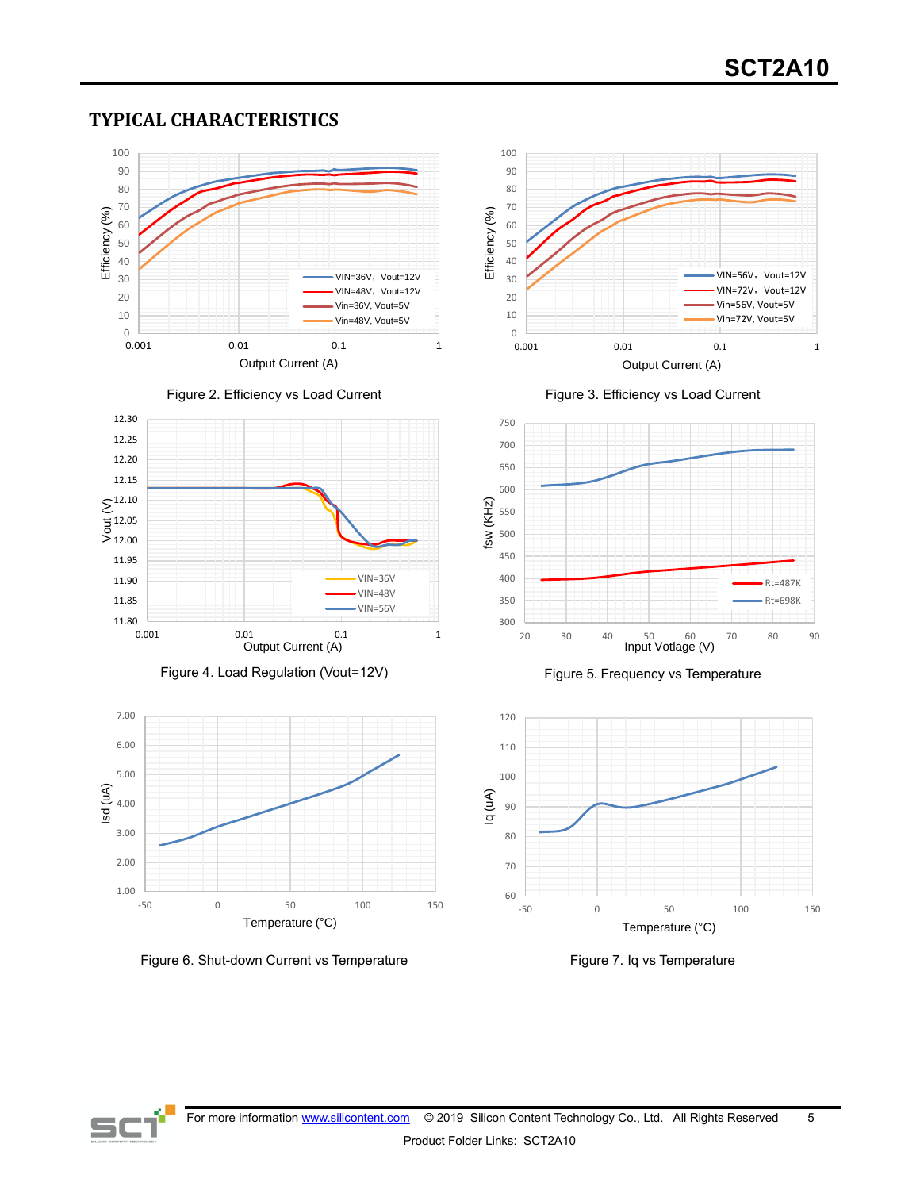# **TYPICAL CHARACTERISTICS**



Figure 6. Shut-down Current vs Temperature Figure 7. Iq vs Temperature



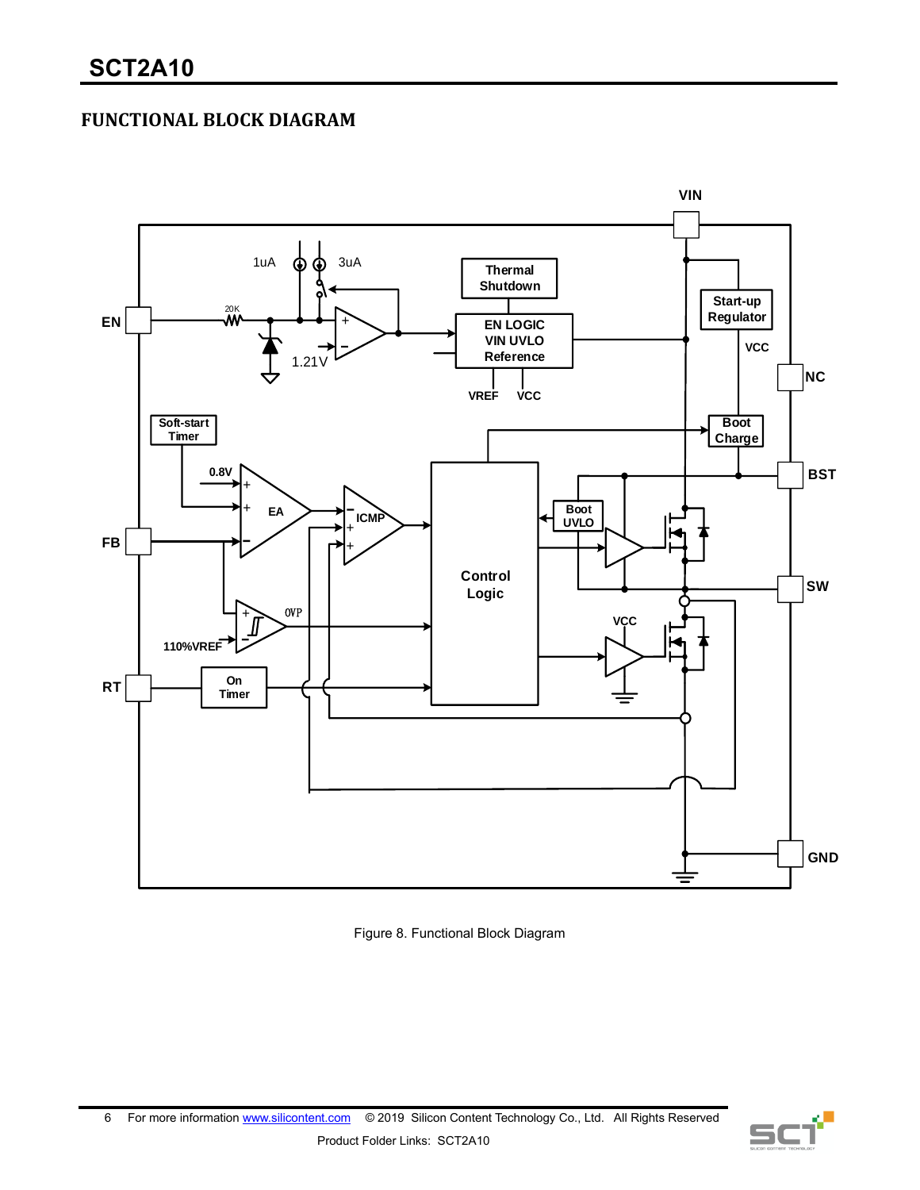# **FUNCTIONAL BLOCK DIAGRAM**



Figure 8. Functional Block Diagram



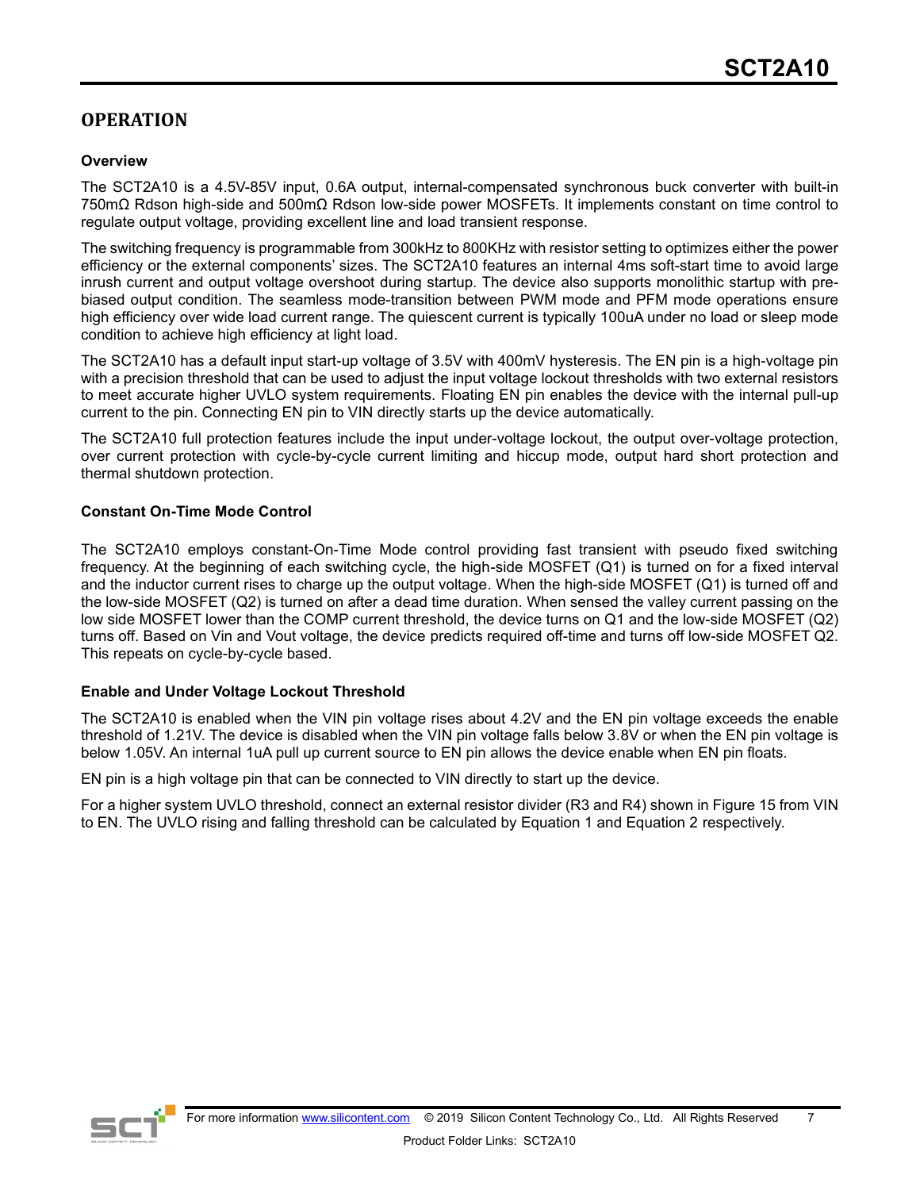### **OPERATION**

### **Overview**

The SCT2A10 is a 4.5V-85V input, 0.6A output, internal-compensated synchronous buck converter with built-in 750mΩ Rdson high-side and 500mΩ Rdson low-side power MOSFETs. It implements constant on time control to regulate output voltage, providing excellent line and load transient response.

The switching frequency is programmable from 300kHz to 800KHz with resistor setting to optimizes either the power efficiency or the external components' sizes. The SCT2A10 features an internal 4ms soft-start time to avoid large inrush current and output voltage overshoot during startup. The device also supports monolithic startup with prebiased output condition. The seamless mode-transition between PWM mode and PFM mode operations ensure high efficiency over wide load current range. The quiescent current is typically 100uA under no load or sleep mode condition to achieve high efficiency at light load.

The SCT2A10 has a default input start-up voltage of 3.5V with 400mV hysteresis. The EN pin is a high-voltage pin with a precision threshold that can be used to adjust the input voltage lockout thresholds with two external resistors to meet accurate higher UVLO system requirements. Floating EN pin enables the device with the internal pull-up current to the pin. Connecting EN pin to VIN directly starts up the device automatically.

The SCT2A10 full protection features include the input under-voltage lockout, the output over-voltage protection, over current protection with cycle-by-cycle current limiting and hiccup mode, output hard short protection and thermal shutdown protection.

### **Constant On-Time Mode Control**

The SCT2A10 employs constant-On-Time Mode control providing fast transient with pseudo fixed switching frequency. At the beginning of each switching cycle, the high-side MOSFET (Q1) is turned on for a fixed interval and the inductor current rises to charge up the output voltage. When the high-side MOSFET (Q1) is turned off and the low-side MOSFET (Q2) is turned on after a dead time duration. When sensed the valley current passing on the low side MOSFET lower than the COMP current threshold, the device turns on Q1 and the low-side MOSFET (Q2) turns off. Based on Vin and Vout voltage, the device predicts required off-time and turns off low-side MOSFET Q2. This repeats on cycle-by-cycle based.

#### **Enable and Under Voltage Lockout Threshold**

The SCT2A10 is enabled when the VIN pin voltage rises about 4.2V and the EN pin voltage exceeds the enable threshold of 1.21V. The device is disabled when the VIN pin voltage falls below 3.8V or when the EN pin voltage is below 1.05V. An internal 1uA pull up current source to EN pin allows the device enable when EN pin floats.

EN pin is a high voltage pin that can be connected to VIN directly to start up the device.

For a higher system UVLO threshold, connect an external resistor divider (R3 and R4) shown in Figure 15 from VIN to EN. The UVLO rising and falling threshold can be calculated by Equation 1 and Equation 2 respectively.

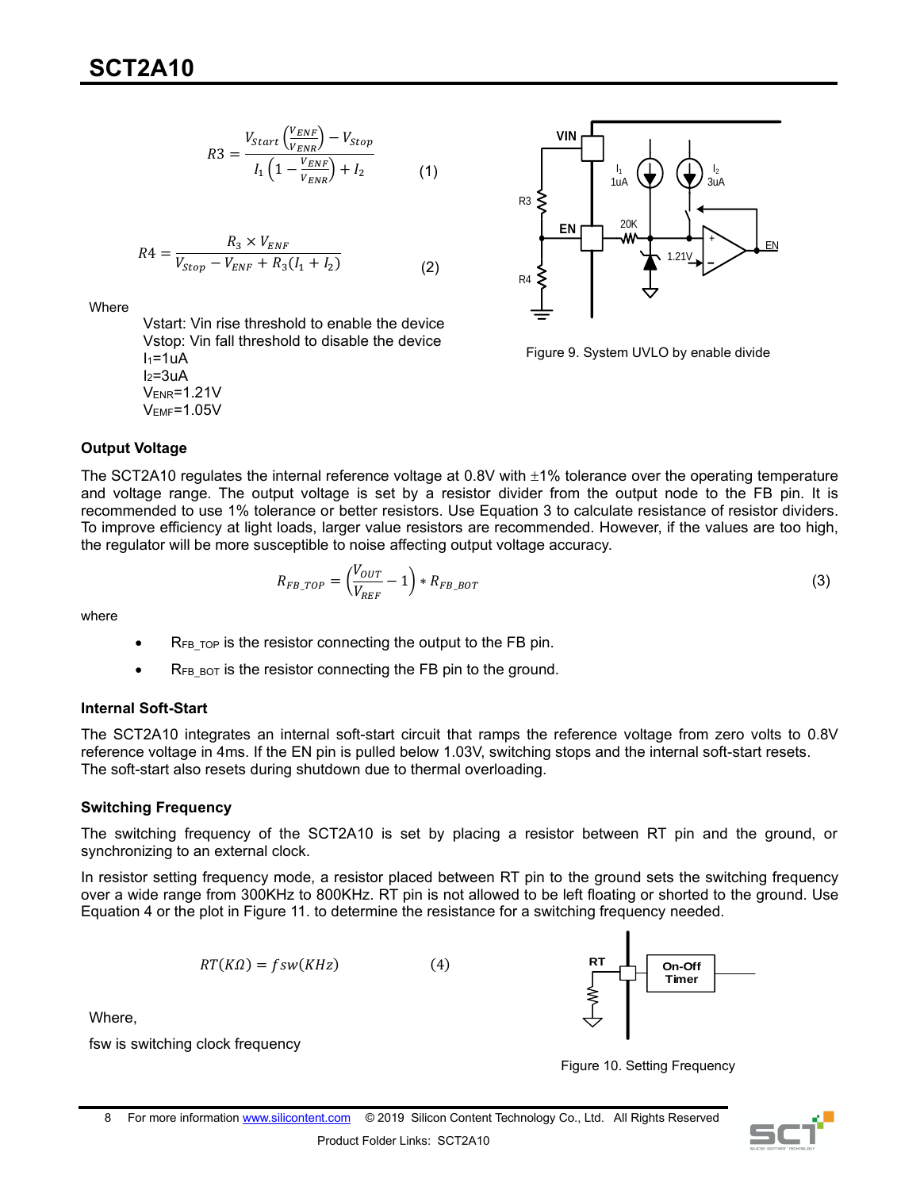$$
R3 = \frac{V_{start}\left(\frac{V_{ENF}}{V_{ENR}}\right) - V_{Stop}}{I_1\left(1 - \frac{V_{ENF}}{V_{ENR}}\right) + I_2}
$$
(1)

$$
R4 = \frac{R_3 \times V_{ENF}}{V_{Stop} - V_{ENF} + R_3(I_1 + I_2)}
$$
(2)

**Where** 

Vstart: Vin rise threshold to enable the device Vstop: Vin fall threshold to disable the device  $I_1=1uA$  $I_2 = 3uA$ VENR=1.21V



Figure 9. System UVLO by enable divide

### **Output Voltage**

VEMF=1.05V

The SCT2A10 regulates the internal reference voltage at 0.8V with  $\pm$ 1% tolerance over the operating temperature and voltage range. The output voltage is set by a resistor divider from the output node to the FB pin. It is recommended to use 1% tolerance or better resistors. Use Equation 3 to calculate resistance of resistor dividers. To improve efficiency at light loads, larger value resistors are recommended. However, if the values are too high, the regulator will be more susceptible to noise affecting output voltage accuracy.

$$
R_{FB\_TOP} = \left(\frac{V_{OUT}}{V_{REF}} - 1\right) * R_{FB\_BOT} \tag{3}
$$

where

- $\bullet$  RFB TOP is the resistor connecting the output to the FB pin.
- RFB\_BOT is the resistor connecting the FB pin to the ground.

### **Internal Soft-Start**

The SCT2A10 integrates an internal soft-start circuit that ramps the reference voltage from zero volts to 0.8V reference voltage in 4ms. If the EN pin is pulled below 1.03V, switching stops and the internal soft-start resets. The soft-start also resets during shutdown due to thermal overloading.

### **Switching Frequency**

The switching frequency of the SCT2A10 is set by placing a resistor between RT pin and the ground, or synchronizing to an external clock.

In resistor setting frequency mode, a resistor placed between RT pin to the ground sets the switching frequency over a wide range from 300KHz to 800KHz. RT pin is not allowed to be left floating or shorted to the ground. Use Equation 4 or the plot in Figure 11. to determine the resistance for a switching frequency needed.

$$
RT(K\Omega) = fsw(KHz)
$$
 (4)

Where,

fsw is switching clock frequency



Figure 10. Setting Frequency

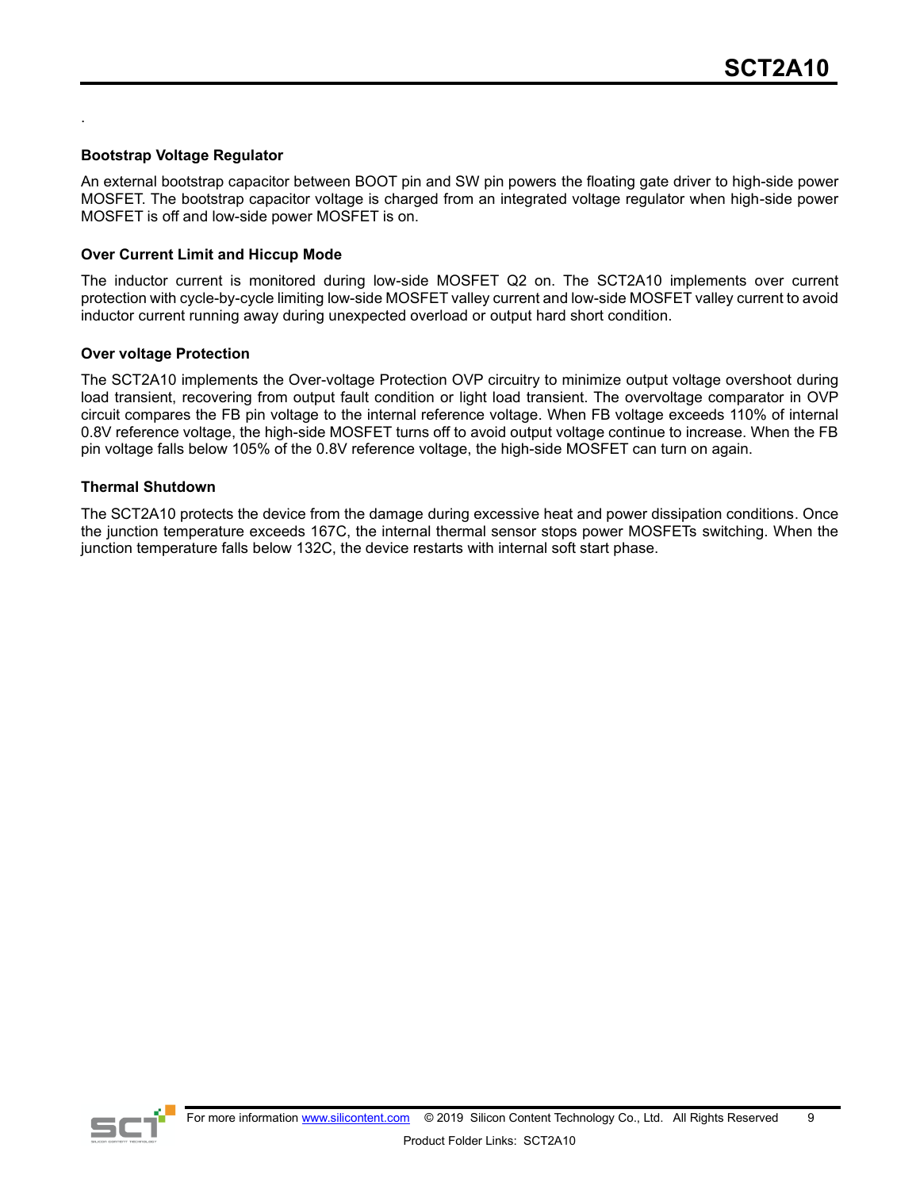#### **Bootstrap Voltage Regulator**

.

An external bootstrap capacitor between BOOT pin and SW pin powers the floating gate driver to high-side power MOSFET. The bootstrap capacitor voltage is charged from an integrated voltage regulator when high-side power MOSFET is off and low-side power MOSFET is on.

#### **Over Current Limit and Hiccup Mode**

The inductor current is monitored during low-side MOSFET Q2 on. The SCT2A10 implements over current protection with cycle-by-cycle limiting low-side MOSFET valley current and low-side MOSFET valley current to avoid inductor current running away during unexpected overload or output hard short condition.

#### **Over voltage Protection**

The SCT2A10 implements the Over-voltage Protection OVP circuitry to minimize output voltage overshoot during load transient, recovering from output fault condition or light load transient. The overvoltage comparator in OVP circuit compares the FB pin voltage to the internal reference voltage. When FB voltage exceeds 110% of internal 0.8V reference voltage, the high-side MOSFET turns off to avoid output voltage continue to increase. When the FB pin voltage falls below 105% of the 0.8V reference voltage, the high-side MOSFET can turn on again.

### **Thermal Shutdown**

The SCT2A10 protects the device from the damage during excessive heat and power dissipation conditions. Once the junction temperature exceeds 167C, the internal thermal sensor stops power MOSFETs switching. When the junction temperature falls below 132C, the device restarts with internal soft start phase.

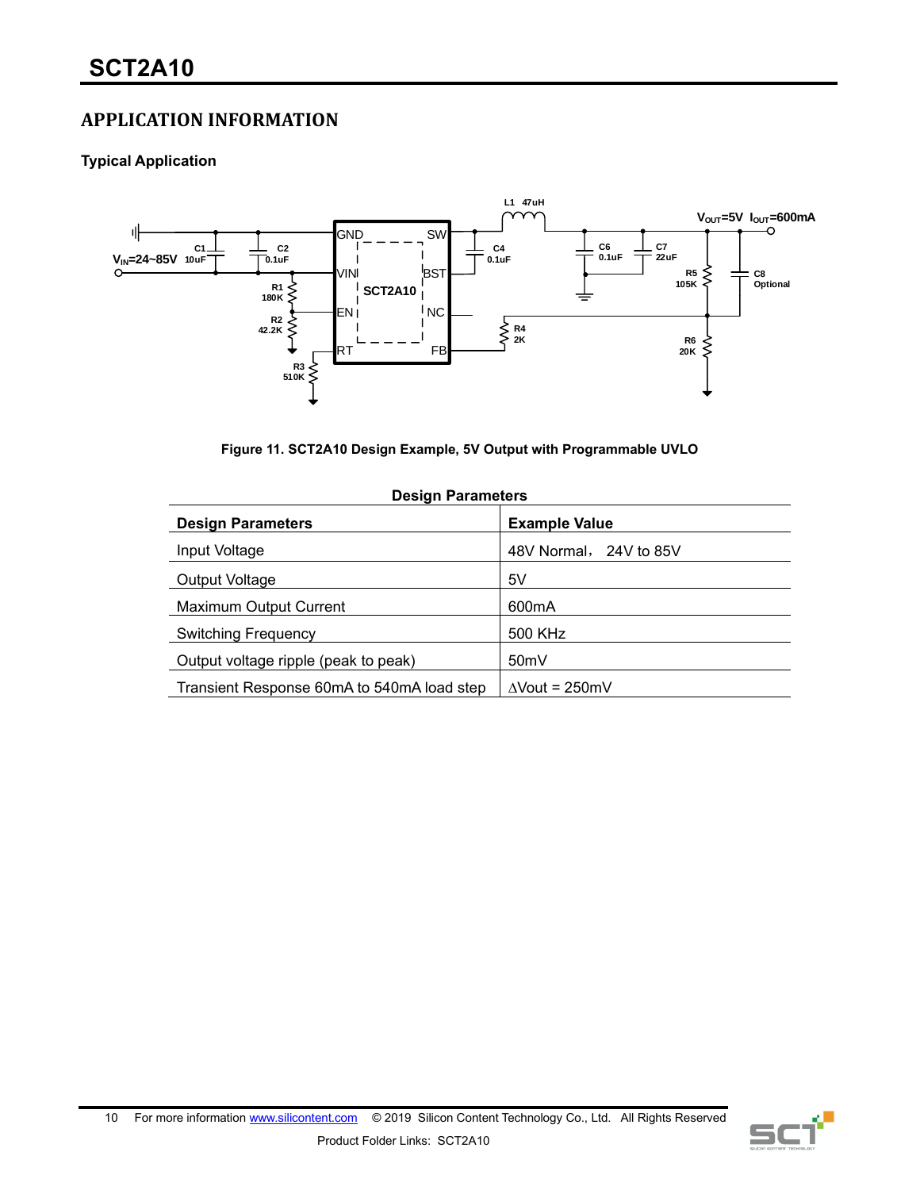# **APPLICATION INFORMATION**

### **Typical Application**



**Figure 11. SCT2A10 Design Example, 5V Output with Programmable UVLO**

| <b>Design Parameters</b>                   |                        |  |  |
|--------------------------------------------|------------------------|--|--|
| <b>Design Parameters</b>                   | <b>Example Value</b>   |  |  |
| Input Voltage                              | 48V Normal, 24V to 85V |  |  |
| Output Voltage                             | 5V                     |  |  |
| Maximum Output Current                     | 600 <sub>m</sub> A     |  |  |
| Switching Frequency                        | 500 KHz                |  |  |
| Output voltage ripple (peak to peak)       | 50 <sub>m</sub> V      |  |  |
| Transient Response 60mA to 540mA load step | $\Delta$ Vout = 250mV  |  |  |

### 10 For more information [www.silicontent.com](http://www.silicontent.com/) © 2019 Silicon Content Technology Co., Ltd. All Rights Reserved Product Folder Links: SCT2A10

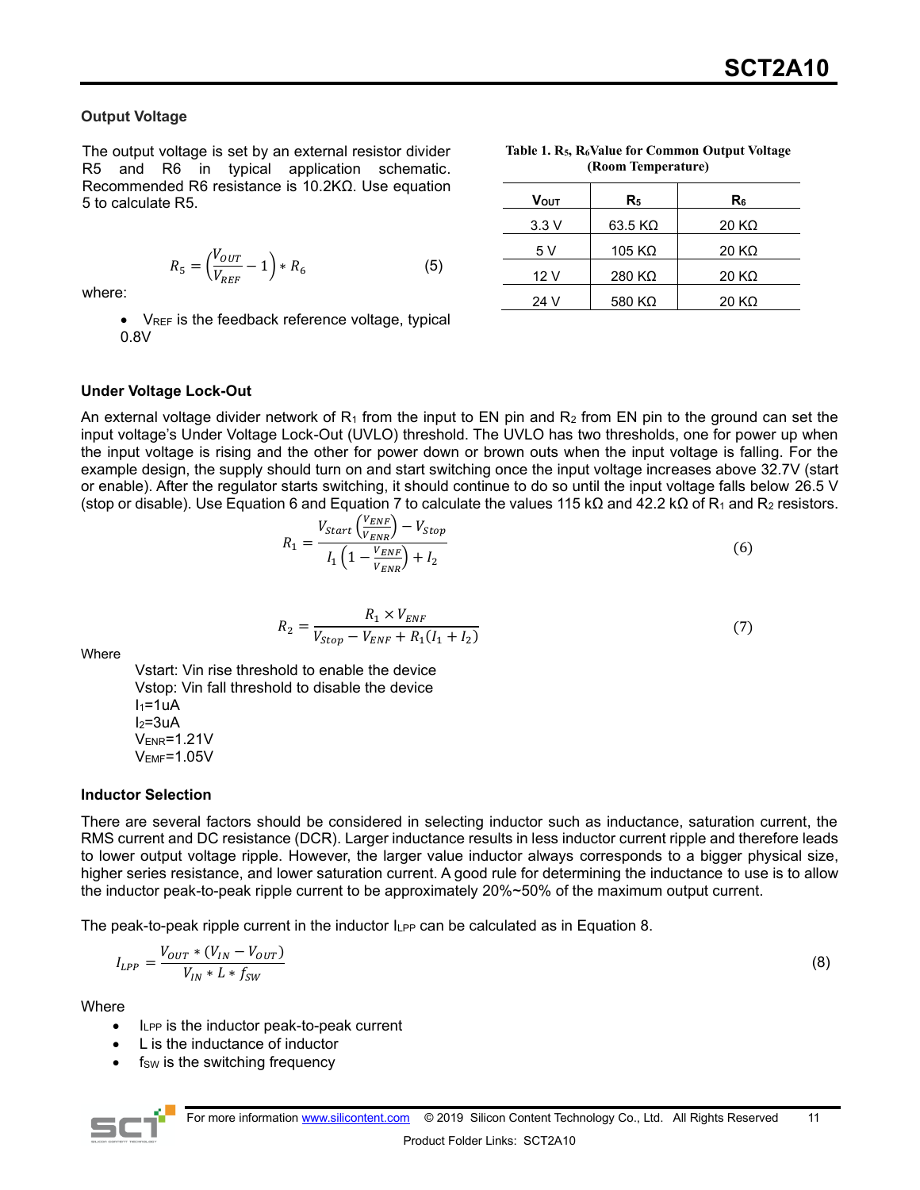$\lambda$ 

### **Output Voltage**

The output voltage is set by an external resistor divider R5 and R6 in typical application schematic. Recommended R6 resistance is 10.2KΩ. Use equation 5 to calculate R5.

$$
R_5 = \left(\frac{V_{OUT}}{V_{REF}} - 1\right) * R_6 \tag{5}
$$

where:

•  $V_{REF}$  is the feedback reference voltage, typical 0.8V

|                    |  | Table 1. R <sub>5</sub> , R <sub>6</sub> Value for Common Output Voltage |  |  |
|--------------------|--|--------------------------------------------------------------------------|--|--|
| (Room Temperature) |  |                                                                          |  |  |

| <b>VOUT</b> | R5            | R۶            |  |
|-------------|---------------|---------------|--|
| 3.3V        | $63.5$ KQ     | 20 K $\Omega$ |  |
| 5 V         | 105 KΩ        | 20 K $\Omega$ |  |
| 12V         | 280 $K\Omega$ | $20 K\Omega$  |  |
| 24 V        | 580 $K\Omega$ | 20 K $\Omega$ |  |

### **Under Voltage Lock-Out**

An external voltage divider network of  $R_1$  from the input to EN pin and  $R_2$  from EN pin to the ground can set the input voltage's Under Voltage Lock-Out (UVLO) threshold. The UVLO has two thresholds, one for power up when the input voltage is rising and the other for power down or brown outs when the input voltage is falling. For the example design, the supply should turn on and start switching once the input voltage increases above 32.7V (start or enable). After the regulator starts switching, it should continue to do so until the input voltage falls below 26.5 V (stop or disable). Use Equation 6 and Equation 7 to calculate the values 115 kΩ and 42.2 kΩ of R<sub>1</sub> and R<sub>2</sub> resistors.  $(VarV)$ 

$$
R_1 = \frac{V_{start}\left(\frac{V_{ENF}}{V_{ENR}}\right) - V_{stop}}{I_1 \left(1 - \frac{V_{ENF}}{V_{ENR}}\right) + I_2}
$$
(6)

$$
R_2 = \frac{R_1 \times V_{ENF}}{V_{Stop} - V_{ENF} + R_1(I_1 + I_2)}
$$
\n(7)

Where

Vstart: Vin rise threshold to enable the device Vstop: Vin fall threshold to disable the device  $I_1=1uA$  $I_2 = 3U$ A VENR=1.21V VEMF=1.05V

#### **Inductor Selection**

There are several factors should be considered in selecting inductor such as inductance, saturation current, the RMS current and DC resistance (DCR). Larger inductance results in less inductor current ripple and therefore leads to lower output voltage ripple. However, the larger value inductor always corresponds to a bigger physical size, higher series resistance, and lower saturation current. A good rule for determining the inductance to use is to allow the inductor peak-to-peak ripple current to be approximately 20%~50% of the maximum output current.

The peak-to-peak ripple current in the inductor  $I_{LPP}$  can be calculated as in Equation 8.

$$
I_{LPP} = \frac{V_{OUT} * (V_{IN} - V_{OUT})}{V_{IN} * L * f_{SW}}
$$
(8)

**Where** 

- $\bullet$  ILPP is the inductor peak-to-peak current
- L is the inductance of inductor
- $\bullet$  fsw is the switching frequency

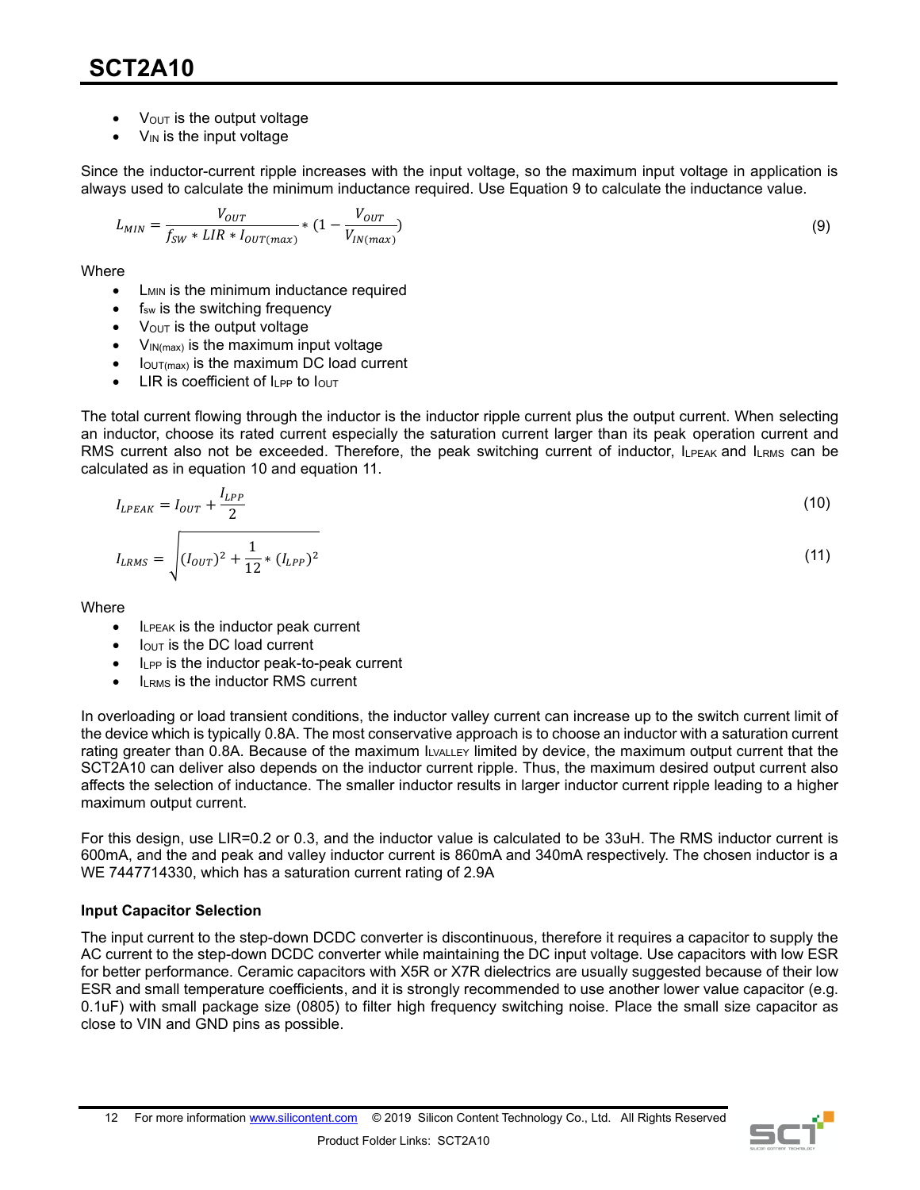- $V_{\text{OUT}}$  is the output voltage
- $\bullet$  V<sub>IN</sub> is the input voltage

Since the inductor-current ripple increases with the input voltage, so the maximum input voltage in application is always used to calculate the minimum inductance required. Use Equation 9 to calculate the inductance value.

$$
L_{MIN} = \frac{V_{OUT}}{f_{SW} * LIR * I_{OUT(max)}} * (1 - \frac{V_{OUT}}{V_{IN(max)}})
$$
(9)

**Where** 

- L<sub>MIN</sub> is the minimum inductance required
- $f<sub>sw</sub>$  is the switching frequency
- $\bullet$  V<sub>OUT</sub> is the output voltage
- $V_{IN(max)}$  is the maximum input voltage
- $I_{\text{OUT(max)}}$  is the maximum DC load current
- $\bullet$  LIR is coefficient of ILPP to  $I_{\text{OUT}}$

The total current flowing through the inductor is the inductor ripple current plus the output current. When selecting an inductor, choose its rated current especially the saturation current larger than its peak operation current and RMS current also not be exceeded. Therefore, the peak switching current of inductor, ILPEAK and ILRMS can be calculated as in equation 10 and equation 11.

$$
I_{LPEAK} = I_{OUT} + \frac{I_{LPP}}{2}
$$
\n
$$
I_{LRMS} = \sqrt{(I_{OUT})^2 + \frac{1}{12} * (I_{LPP})^2}
$$
\n(11)

**Where** 

- $I_{LPEAK}$  is the inductor peak current
- $\bullet$  I<sub>OUT</sub> is the DC load current
- ILPP is the inductor peak-to-peak current
- $\bullet$  I<sub>LRMS</sub> is the inductor RMS current

In overloading or load transient conditions, the inductor valley current can increase up to the switch current limit of the device which is typically 0.8A. The most conservative approach is to choose an inductor with a saturation current rating greater than 0.8A. Because of the maximum ILVALLEY limited by device, the maximum output current that the SCT2A10 can deliver also depends on the inductor current ripple. Thus, the maximum desired output current also affects the selection of inductance. The smaller inductor results in larger inductor current ripple leading to a higher maximum output current.

For this design, use LIR=0.2 or 0.3, and the inductor value is calculated to be 33uH. The RMS inductor current is 600mA, and the and peak and valley inductor current is 860mA and 340mA respectively. The chosen inductor is a WE 7447714330, which has a saturation current rating of 2.9A

### **Input Capacitor Selection**

The input current to the step-down DCDC converter is discontinuous, therefore it requires a capacitor to supply the AC current to the step-down DCDC converter while maintaining the DC input voltage. Use capacitors with low ESR for better performance. Ceramic capacitors with X5R or X7R dielectrics are usually suggested because of their low ESR and small temperature coefficients, and it is strongly recommended to use another lower value capacitor (e.g. 0.1uF) with small package size (0805) to filter high frequency switching noise. Place the small size capacitor as close to VIN and GND pins as possible.

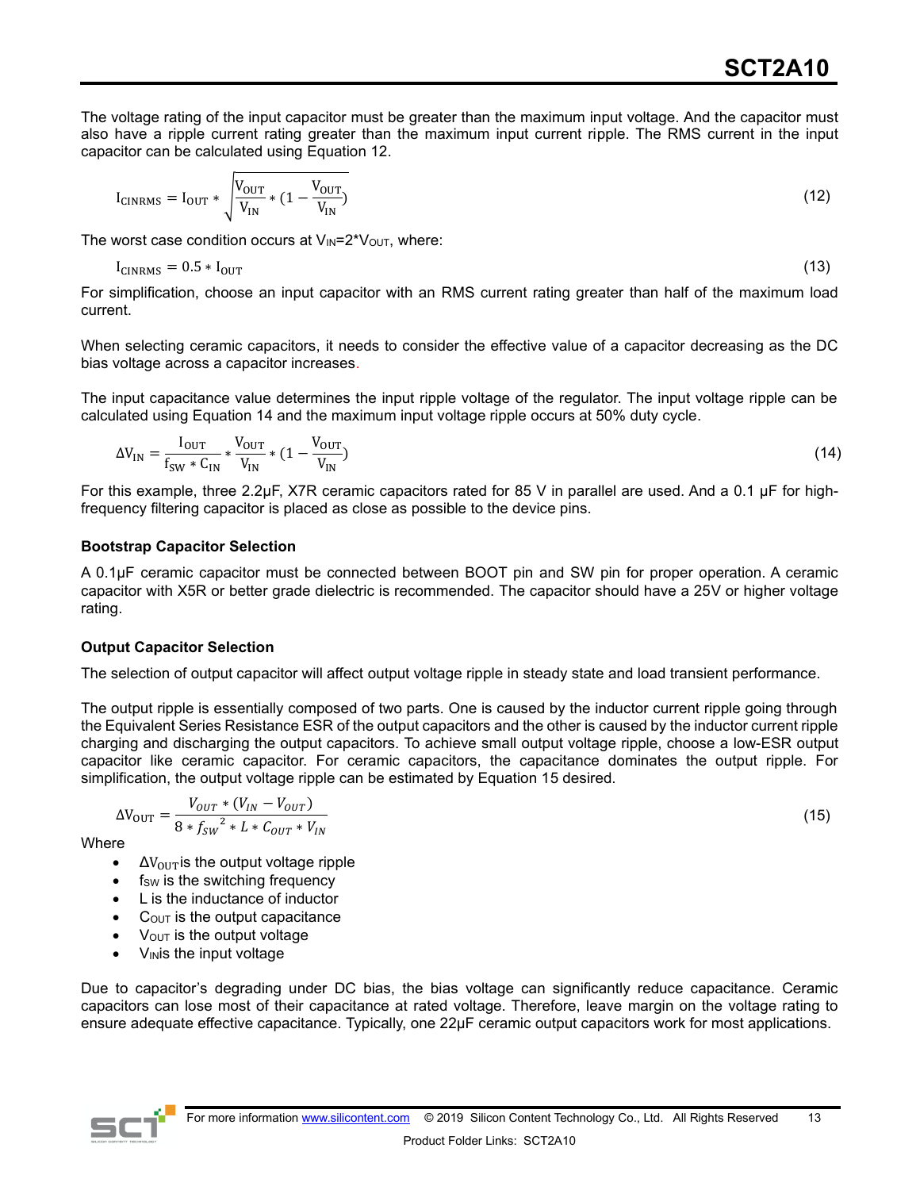The voltage rating of the input capacitor must be greater than the maximum input voltage. And the capacitor must also have a ripple current rating greater than the maximum input current ripple. The RMS current in the input capacitor can be calculated using Equation 12.

$$
I_{\text{CINRMS}} = I_{\text{OUT}} * \sqrt{\frac{V_{\text{OUT}}}{V_{\text{IN}}}} * (1 - \frac{V_{\text{OUT}}}{V_{\text{IN}}})
$$
(12)

The worst case condition occurs at  $V_{\text{IN}}=2*V_{\text{OUT}}$ , where:

$$
I_{\text{CINRMS}} = 0.5 * I_{\text{OUT}} \tag{13}
$$

For simplification, choose an input capacitor with an RMS current rating greater than half of the maximum load current.

When selecting ceramic capacitors, it needs to consider the effective value of a capacitor decreasing as the DC bias voltage across a capacitor increases.

The input capacitance value determines the input ripple voltage of the regulator. The input voltage ripple can be calculated using Equation 14 and the maximum input voltage ripple occurs at 50% duty cycle.

$$
\Delta V_{IN} = \frac{I_{OUT}}{f_{SW} * C_{IN}} * \frac{V_{OUT}}{V_{IN}} * (1 - \frac{V_{OUT}}{V_{IN}})
$$
(14)

For this example, three 2.2μF, X7R ceramic capacitors rated for 85 V in parallel are used. And a 0.1 μF for highfrequency filtering capacitor is placed as close as possible to the device pins.

### **Bootstrap Capacitor Selection**

A 0.1μF ceramic capacitor must be connected between BOOT pin and SW pin for proper operation. A ceramic capacitor with X5R or better grade dielectric is recommended. The capacitor should have a 25V or higher voltage rating.

### **Output Capacitor Selection**

The selection of output capacitor will affect output voltage ripple in steady state and load transient performance.

The output ripple is essentially composed of two parts. One is caused by the inductor current ripple going through the Equivalent Series Resistance ESR of the output capacitors and the other is caused by the inductor current ripple charging and discharging the output capacitors. To achieve small output voltage ripple, choose a low-ESR output capacitor like ceramic capacitor. For ceramic capacitors, the capacitance dominates the output ripple. For simplification, the output voltage ripple can be estimated by Equation 15 desired.

$$
\Delta V_{\text{OUT}} = \frac{V_{OUT} * (V_{IN} - V_{OUT})}{8 * f_{SW}^2 * L * C_{OUT} * V_{IN}}
$$

**Where** 

- $\Delta V_{\text{out}}$  is the output voltage ripple
- $\bullet$  fsw is the switching frequency
- L is the inductance of inductor
- $\bullet$  C<sub>OUT</sub> is the output capacitance
- $V_{\text{OUT}}$  is the output voltage
- $\bullet$  V<sub>IN</sub> is the input voltage

Due to capacitor's degrading under DC bias, the bias voltage can significantly reduce capacitance. Ceramic capacitors can lose most of their capacitance at rated voltage. Therefore, leave margin on the voltage rating to ensure adequate effective capacitance. Typically, one 22μF ceramic output capacitors work for most applications.



(15)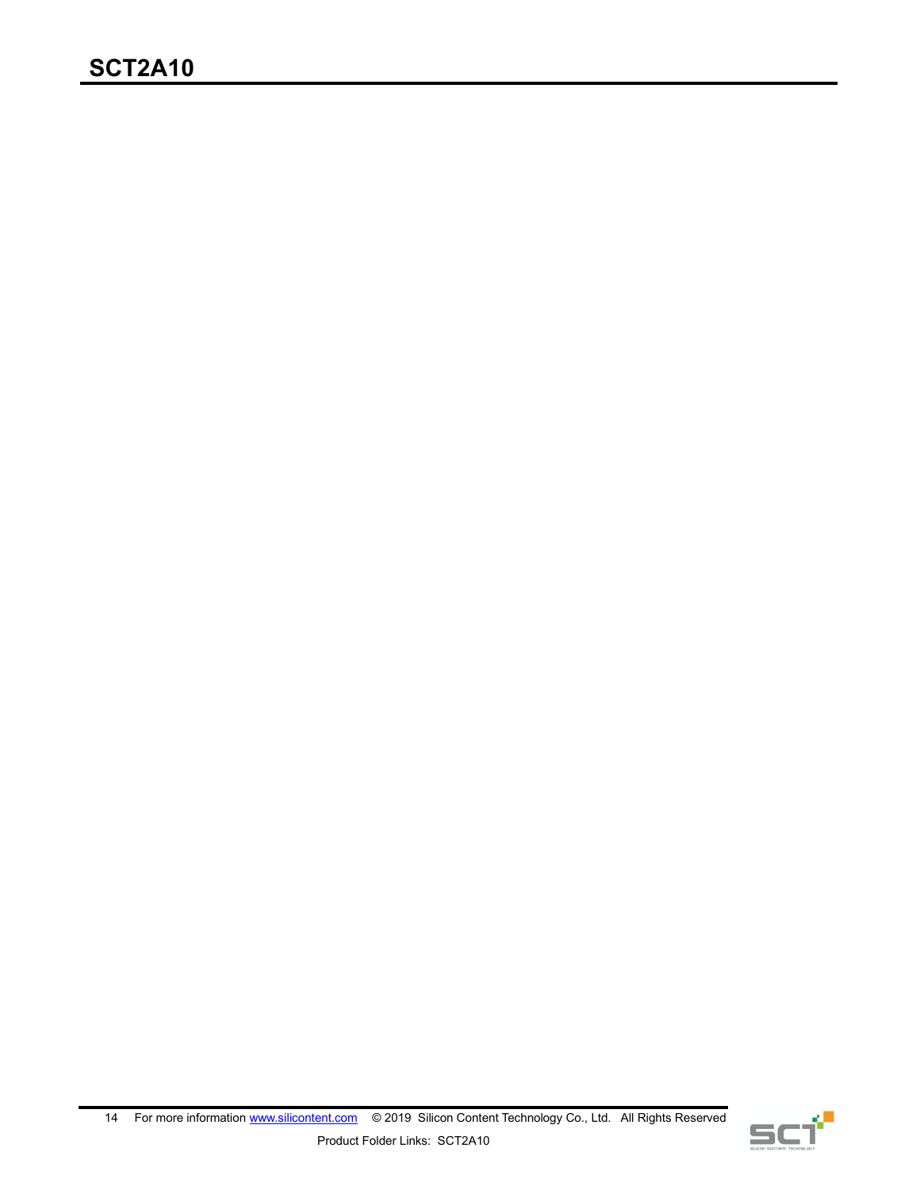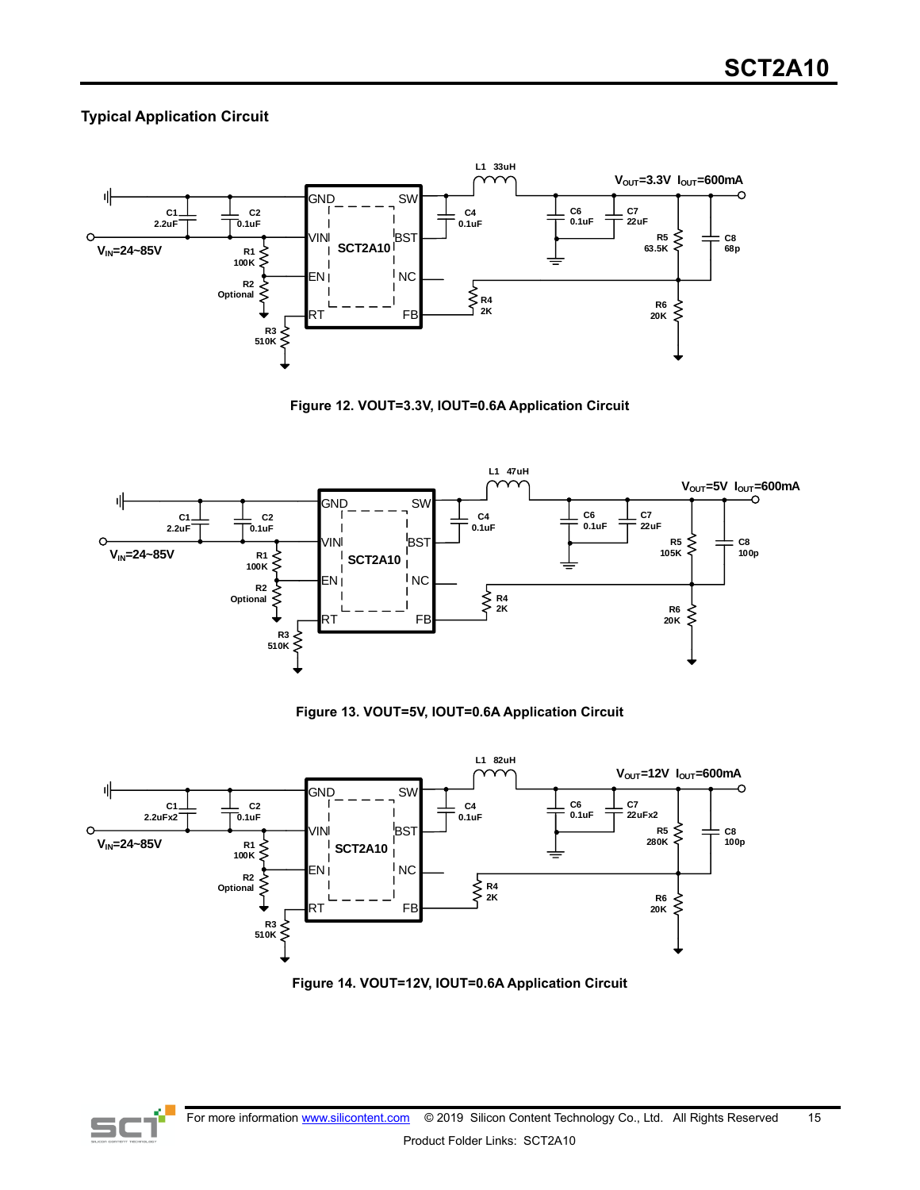### **Typical Application Circuit**











**Figure 14. VOUT=12V, IOUT=0.6A Application Circuit**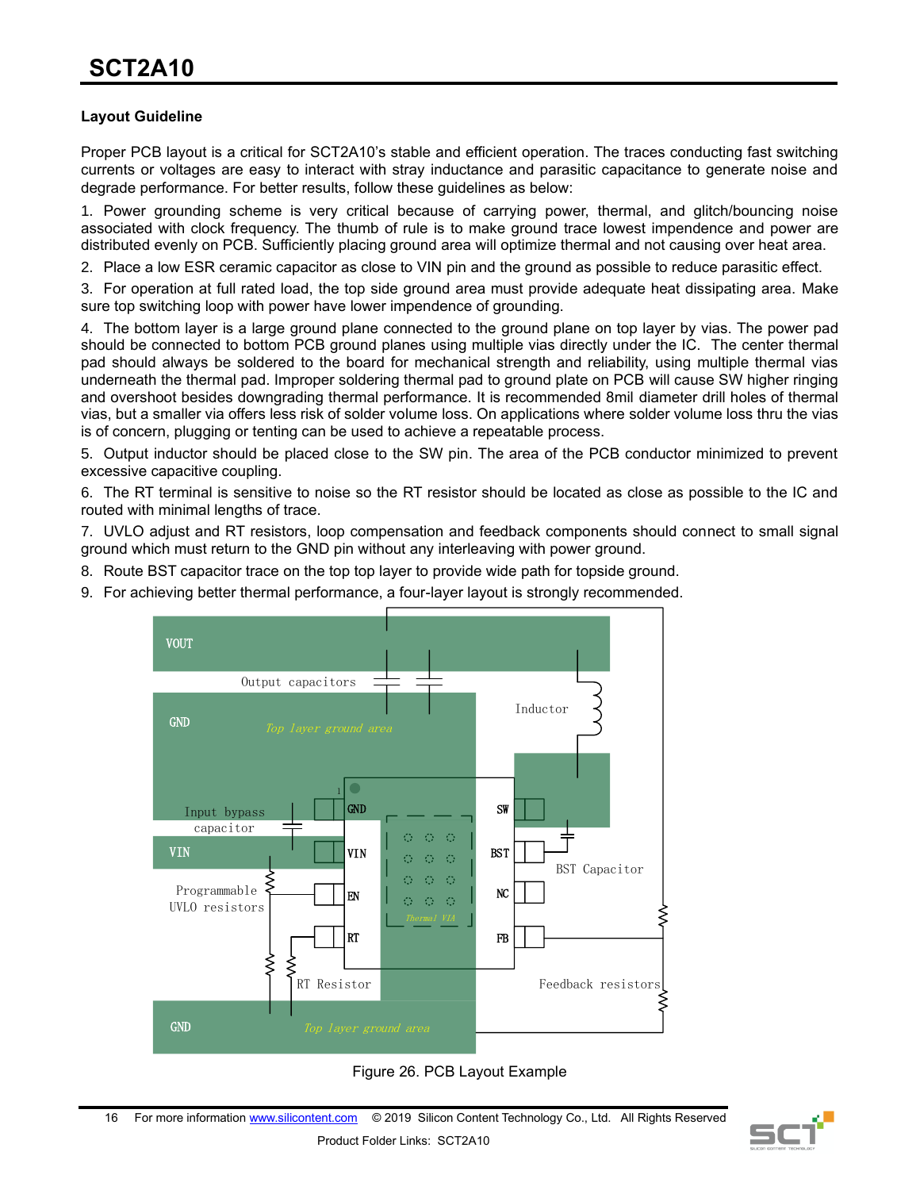### **Layout Guideline**

Proper PCB layout is a critical for SCT2A10's stable and efficient operation. The traces conducting fast switching currents or voltages are easy to interact with stray inductance and parasitic capacitance to generate noise and degrade performance. For better results, follow these guidelines as below:

1. Power grounding scheme is very critical because of carrying power, thermal, and glitch/bouncing noise associated with clock frequency. The thumb of rule is to make ground trace lowest impendence and power are distributed evenly on PCB. Sufficiently placing ground area will optimize thermal and not causing over heat area.

2. Place a low ESR ceramic capacitor as close to VIN pin and the ground as possible to reduce parasitic effect.

3. For operation at full rated load, the top side ground area must provide adequate heat dissipating area. Make sure top switching loop with power have lower impendence of grounding.

4. The bottom layer is a large ground plane connected to the ground plane on top layer by vias. The power pad should be connected to bottom PCB ground planes using multiple vias directly under the IC. The center thermal pad should always be soldered to the board for mechanical strength and reliability, using multiple thermal vias underneath the thermal pad. Improper soldering thermal pad to ground plate on PCB will cause SW higher ringing and overshoot besides downgrading thermal performance. It is recommended 8mil diameter drill holes of thermal vias, but a smaller via offers less risk of solder volume loss. On applications where solder volume loss thru the vias is of concern, plugging or tenting can be used to achieve a repeatable process.

5. Output inductor should be placed close to the SW pin. The area of the PCB conductor minimized to prevent excessive capacitive coupling.

6. The RT terminal is sensitive to noise so the RT resistor should be located as close as possible to the IC and routed with minimal lengths of trace.

7. UVLO adjust and RT resistors, loop compensation and feedback components should connect to small signal ground which must return to the GND pin without any interleaving with power ground.

- 8. Route BST capacitor trace on the top top layer to provide wide path for topside ground.
- 9. For achieving better thermal performance, a four-layer layout is strongly recommended.



Figure 26. PCB Layout Example

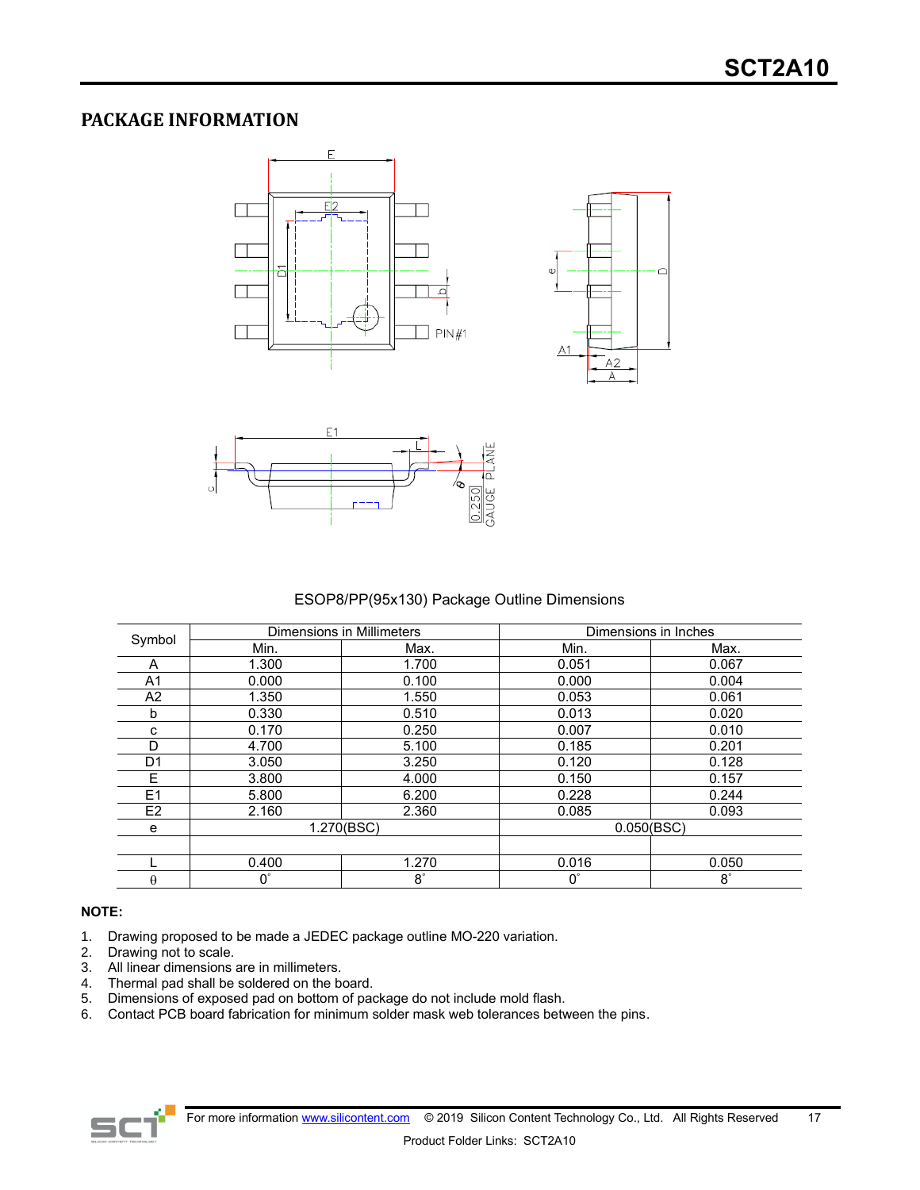## **PACKAGE INFORMATION**







ESOP8/PP(95x130) Package Outline Dimensions

| Symbol         | Dimensions in Millimeters |           | Dimensions in Inches |           |
|----------------|---------------------------|-----------|----------------------|-----------|
|                | Min.                      | Max.      | Min.                 | Max.      |
| A              | 1.300                     | 1.700     | 0.051                | 0.067     |
| A1             | 0.000                     | 0.100     | 0.000                | 0.004     |
| A2             | 1.350                     | 1.550     | 0.053                | 0.061     |
| b              | 0.330                     | 0.510     | 0.013                | 0.020     |
| c              | 0.170                     | 0.250     | 0.007                | 0.010     |
| D              | 4.700                     | 5.100     | 0.185                | 0.201     |
| D1             | 3.050                     | 3.250     | 0.120                | 0.128     |
| E              | 3.800                     | 4.000     | 0.150                | 0.157     |
| E1             | 5.800                     | 6.200     | 0.228                | 0.244     |
| E <sub>2</sub> | 2.160                     | 2.360     | 0.085                | 0.093     |
| е              | 1.270(BSC)                |           | 0.050(BSC)           |           |
|                |                           |           |                      |           |
|                | 0.400                     | 1.270     | 0.016                | 0.050     |
| $\theta$       | $0^{\circ}$               | $8^\circ$ | $0^{\circ}$          | $8^\circ$ |

### **NOTE:**

- 1. Drawing proposed to be made a JEDEC package outline MO-220 variation.
- 2. Drawing not to scale.
- 3. All linear dimensions are in millimeters.
- 4. Thermal pad shall be soldered on the board.
- 5. Dimensions of exposed pad on bottom of package do not include mold flash.
- 6. Contact PCB board fabrication for minimum solder mask web tolerances between the pins.